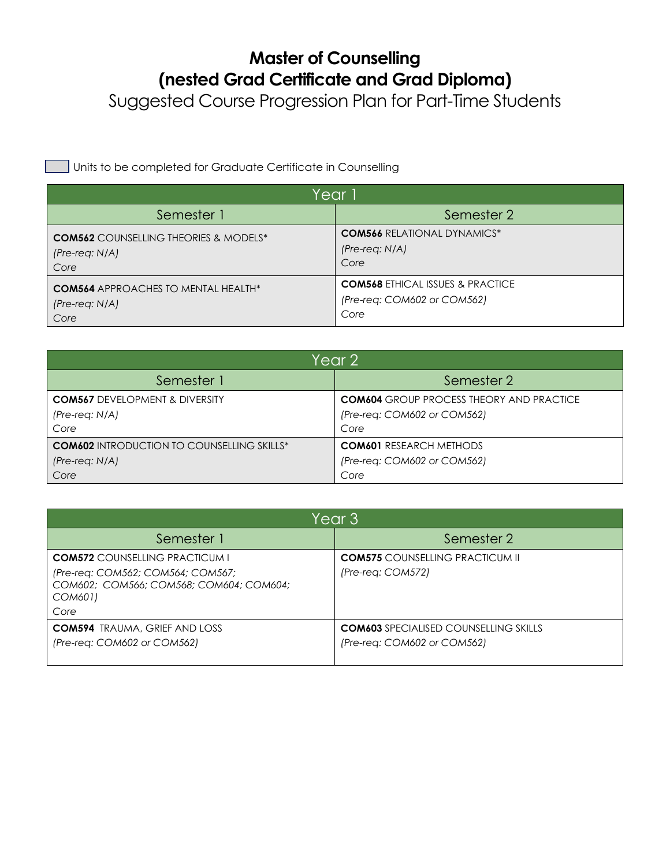## **Master of Counselling (nested Grad Certificate and Grad Diploma)**

Suggested Course Progression Plan for Part-Time Students

Units to be completed for Graduate Certificate in Counselling

| Year 1                                       |                                             |  |
|----------------------------------------------|---------------------------------------------|--|
| Semester 1                                   | Semester 2                                  |  |
| <b>COM562</b> COUNSELLING THEORIES & MODELS* | <b>COM566 RELATIONAL DYNAMICS*</b>          |  |
| $(Pre-reg: N/A)$                             | $(Pre-reg: N/A)$                            |  |
| Core                                         | Core                                        |  |
| <b>COM564</b> APPROACHES TO MENTAL HEALTH*   | <b>COM568 ETHICAL ISSUES &amp; PRACTICE</b> |  |
| $(Pre-reg: N/A)$                             | (Pre-req: COM602 or COM562)                 |  |
| Core                                         | Core                                        |  |

| Year 2                                            |                                                 |  |
|---------------------------------------------------|-------------------------------------------------|--|
| Semester 1                                        | Semester 2                                      |  |
| <b>COM567 DEVELOPMENT &amp; DIVERSITY</b>         | <b>COM604</b> GROUP PROCESS THEORY AND PRACTICE |  |
| $(Pre-reg: N/A)$                                  | (Pre-req: COM602 or COM562)                     |  |
| Core                                              | Core                                            |  |
| <b>COM602 INTRODUCTION TO COUNSELLING SKILLS*</b> | <b>COM601 RESEARCH METHODS</b>                  |  |
| $(Pre-reg: N/A)$                                  | (Pre-req: COM602 or COM562)                     |  |
| Core                                              | Core                                            |  |

| Year 3                                                                                  |                                              |  |
|-----------------------------------------------------------------------------------------|----------------------------------------------|--|
| Semester 1                                                                              | Semester 2                                   |  |
| <b>COM572</b> COUNSELUNG PRACTICUM L                                                    | <b>COM575</b> COUNSELLING PRACTICUM II       |  |
| (Pre-req: COM562; COM564; COM567;<br>COM602; COM566; COM568; COM604; COM604;<br>COM601) | (Pre-reg: COM572)                            |  |
| Core                                                                                    |                                              |  |
| <b>COM594</b> TRAUMA, GRIEF AND LOSS                                                    | <b>COM603</b> SPECIALISED COUNSELLING SKILLS |  |
| (Pre-reg: COM602 or COM562)                                                             | (Pre-reg: COM602 or COM562)                  |  |